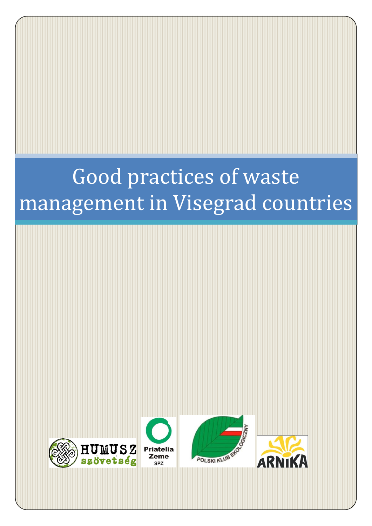# Good practices of waste management in Visegrad countries







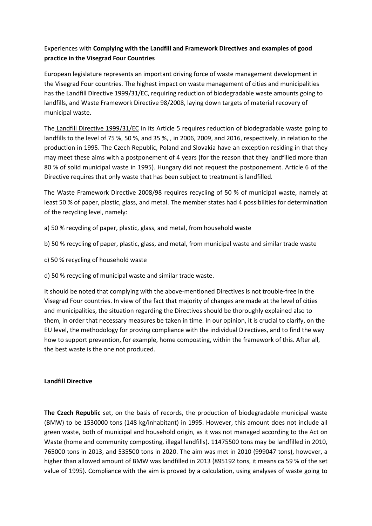## Experiences with **Complying with the Landfill and Framework Directives and examples of good practice in the Visegrad Four Countries**

European legislature represents an important driving force of waste management development in the Visegrad Four countries. The highest impact on waste management of cities and municipalities has the Landfill Directive 1999/31/EC, requiring reduction of biodegradable waste amounts going to landfills, and Waste Framework Directive 98/2008, laying down targets of material recovery of municipal waste.

The Landfill Directive 1999/31/EC in its Article 5 requires reduction of biodegradable waste going to landfills to the level of 75 %, 50 %, and 35 %, , in 2006, 2009, and 2016, respectively, in relation to the production in 1995. The Czech Republic, Poland and Slovakia have an exception residing in that they may meet these aims with a postponement of 4 years (for the reason that they landfilled more than 80 % of solid municipal waste in 1995). Hungary did not request the postponement. Article 6 of the Directive requires that only waste that has been subject to treatment is landfilled.

The Waste Framework Directive 2008/98 requires recycling of 50 % of municipal waste, namely at least 50 % of paper, plastic, glass, and metal. The member states had 4 possibilities for determination of the recycling level, namely:

- a) 50 % recycling of paper, plastic, glass, and metal, from household waste
- b) 50 % recycling of paper, plastic, glass, and metal, from municipal waste and similar trade waste
- c) 50 % recycling of household waste
- d) 50 % recycling of municipal waste and similar trade waste.

It should be noted that complying with the above-mentioned Directives is not trouble-free in the Visegrad Four countries. In view of the fact that majority of changes are made at the level of cities and municipalities, the situation regarding the Directives should be thoroughly explained also to them, in order that necessary measures be taken in time. In our opinion, it is crucial to clarify, on the EU level, the methodology for proving compliance with the individual Directives, and to find the way how to support prevention, for example, home composting, within the framework of this. After all, the best waste is the one not produced.

## **Landfill Directive**

**The Czech Republic** set, on the basis of records, the production of biodegradable municipal waste (BMW) to be 1530000 tons (148 kg/inhabitant) in 1995. However, this amount does not include all green waste, both of municipal and household origin, as it was not managed according to the Act on Waste (home and community composting, illegal landfills). 11475500 tons may be landfilled in 2010, 765000 tons in 2013, and 535500 tons in 2020. The aim was met in 2010 (999047 tons), however, a higher than allowed amount of BMW was landfilled in 2013 (895192 tons, it means ca 59 % of the set value of 1995). Compliance with the aim is proved by a calculation, using analyses of waste going to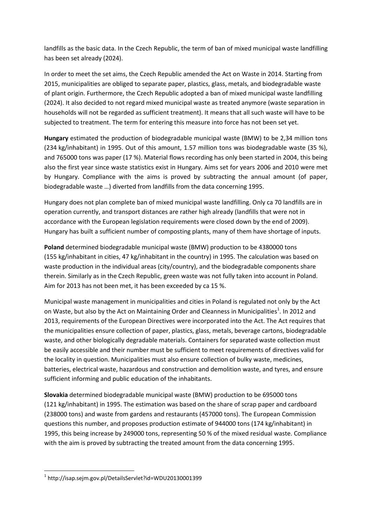landfills as the basic data. In the Czech Republic, the term of ban of mixed municipal waste landfilling has been set already (2024).

In order to meet the set aims, the Czech Republic amended the Act on Waste in 2014. Starting from 2015, municipalities are obliged to separate paper, plastics, glass, metals, and biodegradable waste of plant origin. Furthermore, the Czech Republic adopted a ban of mixed municipal waste landfilling (2024). It also decided to not regard mixed municipal waste as treated anymore (waste separation in households will not be regarded as sufficient treatment). It means that all such waste will have to be subjected to treatment. The term for entering this measure into force has not been set yet.

**Hungary** estimated the production of biodegradable municipal waste (BMW) to be 2,34 million tons (234 kg/inhabitant) in 1995. Out of this amount, 1.57 million tons was biodegradable waste (35 %), and 765000 tons was paper (17 %). Material flows recording has only been started in 2004, this being also the first year since waste statistics exist in Hungary. Aims set for years 2006 and 2010 were met by Hungary. Compliance with the aims is proved by subtracting the annual amount (of paper, biodegradable waste …) diverted from landfills from the data concerning 1995.

Hungary does not plan complete ban of mixed municipal waste landfilling. Only ca 70 landfills are in operation currently, and transport distances are rather high already (landfills that were not in accordance with the European legislation requirements were closed down by the end of 2009). Hungary has built a sufficient number of composting plants, many of them have shortage of inputs.

**Poland** determined biodegradable municipal waste (BMW) production to be 4380000 tons (155 kg/inhabitant in cities, 47 kg/inhabitant in the country) in 1995. The calculation was based on waste production in the individual areas (city/country), and the biodegradable components share therein. Similarly as in the Czech Republic, green waste was not fully taken into account in Poland. Aim for 2013 has not been met, it has been exceeded by ca 15 %.

Municipal waste management in municipalities and cities in Poland is regulated not only by the Act on Waste, but also by the Act on Maintaining Order and Cleanness in Municipalities<sup>1</sup>. In 2012 and 2013, requirements of the European Directives were incorporated into the Act. The Act requires that the municipalities ensure collection of paper, plastics, glass, metals, beverage cartons, biodegradable waste, and other biologically degradable materials. Containers for separated waste collection must be easily accessible and their number must be sufficient to meet requirements of directives valid for the locality in question. Municipalities must also ensure collection of bulky waste, medicines, batteries, electrical waste, hazardous and construction and demolition waste, and tyres, and ensure sufficient informing and public education of the inhabitants.

**Slovakia** determined biodegradable municipal waste (BMW) production to be 695000 tons (121 kg/inhabitant) in 1995. The estimation was based on the share of scrap paper and cardboard (238000 tons) and waste from gardens and restaurants (457000 tons). The European Commission questions this number, and proposes production estimate of 944000 tons (174 kg/inhabitant) in 1995, this being increase by 249000 tons, representing 50 % of the mixed residual waste. Compliance with the aim is proved by subtracting the treated amount from the data concerning 1995.

**.** 

<sup>1</sup> http://isap.sejm.gov.pl/DetailsServlet?id=WDU20130001399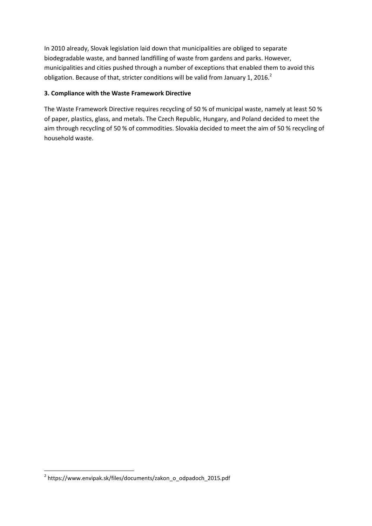In 2010 already, Slovak legislation laid down that municipalities are obliged to separate biodegradable waste, and banned landfilling of waste from gardens and parks. However, municipalities and cities pushed through a number of exceptions that enabled them to avoid this obligation. Because of that, stricter conditions will be valid from January 1, 2016.<sup>2</sup>

## **3. Compliance with the Waste Framework Directive**

The Waste Framework Directive requires recycling of 50 % of municipal waste, namely at least 50 % of paper, plastics, glass, and metals. The Czech Republic, Hungary, and Poland decided to meet the aim through recycling of 50 % of commodities. Slovakia decided to meet the aim of 50 % recycling of household waste.

 2 https://www.envipak.sk/files/documents/zakon\_o\_odpadoch\_2015.pdf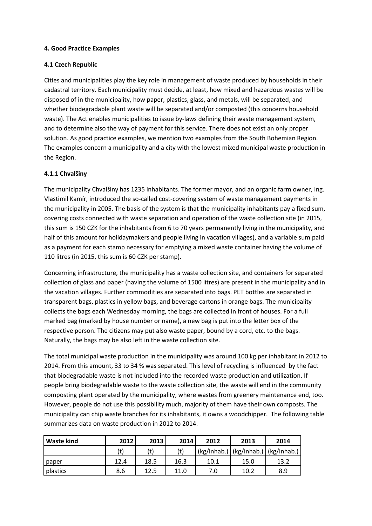#### **4. Good Practice Examples**

#### **4.1 Czech Republic**

Cities and municipalities play the key role in management of waste produced by households in their cadastral territory. Each municipality must decide, at least, how mixed and hazardous wastes will be disposed of in the municipality, how paper, plastics, glass, and metals, will be separated, and whether biodegradable plant waste will be separated and/or composted (this concerns household waste). The Act enables municipalities to issue by-laws defining their waste management system, and to determine also the way of payment for this service. There does not exist an only proper solution. As good practice examples, we mention two examples from the South Bohemian Region. The examples concern a municipality and a city with the lowest mixed municipal waste production in the Region.

#### **4.1.1 Chvalšiny**

The municipality Chvalšiny has 1235 inhabitants. The former mayor, and an organic farm owner, Ing. Vlastimil Kamír, introduced the so-called cost-covering system of waste management payments in the municipality in 2005. The basis of the system is that the municipality inhabitants pay a fixed sum, covering costs connected with waste separation and operation of the waste collection site (in 2015, this sum is 150 CZK for the inhabitants from 6 to 70 years permanently living in the municipality, and half of this amount for holidaymakers and people living in vacation villages), and a variable sum paid as a payment for each stamp necessary for emptying a mixed waste container having the volume of 110 litres (in 2015, this sum is 60 CZK per stamp).

Concerning infrastructure, the municipality has a waste collection site, and containers for separated collection of glass and paper (having the volume of 1500 litres) are present in the municipality and in the vacation villages. Further commodities are separated into bags. PET bottles are separated in transparent bags, plastics in yellow bags, and beverage cartons in orange bags. The municipality collects the bags each Wednesday morning, the bags are collected in front of houses. For a full marked bag (marked by house number or name), a new bag is put into the letter box of the respective person. The citizens may put also waste paper, bound by a cord, etc. to the bags. Naturally, the bags may be also left in the waste collection site.

The total municipal waste production in the municipality was around 100 kg per inhabitant in 2012 to 2014. From this amount, 33 to 34 % was separated. This level of recycling is influenced by the fact that biodegradable waste is not included into the recorded waste production and utilization. If people bring biodegradable waste to the waste collection site, the waste will end in the community composting plant operated by the municipality, where wastes from greenery maintenance end, too. However, people do not use this possibility much, majority of them have their own composts. The municipality can chip waste branches for its inhabitants, it owns a woodchipper. The following table summarizes data on waste production in 2012 to 2014.

| <b>Waste kind</b> | 2012 | 2013 | 2014 | 2012 | 2013                                    | 2014 |
|-------------------|------|------|------|------|-----------------------------------------|------|
|                   | (t)  |      | (t)  |      | (kg/inhab.)   (kg/inhab.)   (kg/inhab.) |      |
| paper             | 12.4 | 18.5 | 16.3 | 10.1 | 15.0                                    | 13.2 |
| plastics          | 8.6  | 12.5 | 11.0 | 7.0  | 10.2                                    | 8.9  |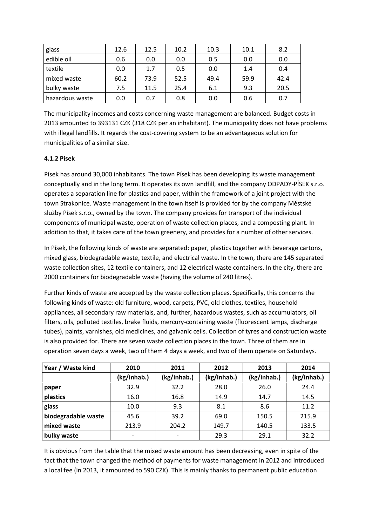| glass           | 12.6 | 12.5 | 10.2 | 10.3 | 10.1 | 8.2  |
|-----------------|------|------|------|------|------|------|
| edible oil      | 0.6  | 0.0  | 0.0  | 0.5  | 0.0  | 0.0  |
| textile         | 0.0  | 1.7  | 0.5  | 0.0  | 1.4  | 0.4  |
| mixed waste     | 60.2 | 73.9 | 52.5 | 49.4 | 59.9 | 42.4 |
| bulky waste     | 7.5  | 11.5 | 25.4 | 6.1  | 9.3  | 20.5 |
| hazardous waste | 0.0  | 0.7  | 0.8  | 0.0  | 0.6  | 0.7  |

The municipality incomes and costs concerning waste management are balanced. Budget costs in 2013 amounted to 393131 CZK (318 CZK per an inhabitant). The municipality does not have problems with illegal landfills. It regards the cost-covering system to be an advantageous solution for municipalities of a similar size.

## **4.1.2 Písek**

Písek has around 30,000 inhabitants. The town Písek has been developing its waste management conceptually and in the long term. It operates its own landfill, and the company ODPADY-PÍSEK s.r.o. operates a separation line for plastics and paper, within the framework of a joint project with the town Strakonice. Waste management in the town itself is provided for by the company Městské služby Písek s.r.o., owned by the town. The company provides for transport of the individual components of municipal waste, operation of waste collection places, and a composting plant. In addition to that, it takes care of the town greenery, and provides for a number of other services.

In Písek, the following kinds of waste are separated: paper, plastics together with beverage cartons, mixed glass, biodegradable waste, textile, and electrical waste. In the town, there are 145 separated waste collection sites, 12 textile containers, and 12 electrical waste containers. In the city, there are 2000 containers for biodegradable waste (having the volume of 240 litres).

Further kinds of waste are accepted by the waste collection places. Specifically, this concerns the following kinds of waste: old furniture, wood, carpets, PVC, old clothes, textiles, household appliances, all secondary raw materials, and, further, hazardous wastes, such as accumulators, oil filters, oils, polluted textiles, brake fluids, mercury-containing waste (fluorescent lamps, discharge tubes), paints, varnishes, old medicines, and galvanic cells. Collection of tyres and construction waste is also provided for. There are seven waste collection places in the town. Three of them are in operation seven days a week, two of them 4 days a week, and two of them operate on Saturdays.

| Year / Waste kind   | 2010        | 2011        | 2012        | 2013        | 2014        |
|---------------------|-------------|-------------|-------------|-------------|-------------|
|                     | (kg/inhab.) | (kg/inhab.) | (kg/inhab.) | (kg/inhab.) | (kg/inhab.) |
| paper               | 32.9        | 32.2        | 28.0        | 26.0        | 24.4        |
| plastics            | 16.0        | 16.8        | 14.9        | 14.7        | 14.5        |
| glass               | 10.0        | 9.3         | 8.1         | 8.6         | 11.2        |
| biodegradable waste | 45.6        | 39.2        | 69.0        | 150.5       | 215.9       |
| mixed waste         | 213.9       | 204.2       | 149.7       | 140.5       | 133.5       |
| bulky waste         |             |             | 29.3        | 29.1        | 32.2        |

It is obvious from the table that the mixed waste amount has been decreasing, even in spite of the fact that the town changed the method of payments for waste management in 2012 and introduced a local fee (in 2013, it amounted to 590 CZK). This is mainly thanks to permanent public education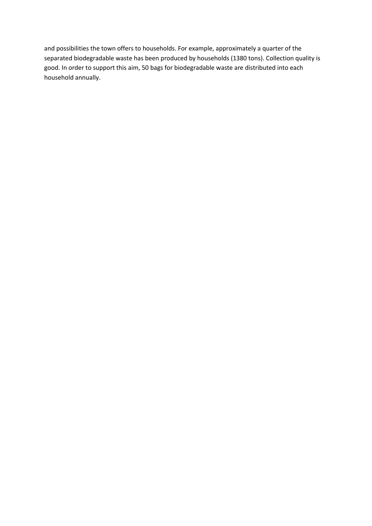and possibilities the town offers to households. For example, approximately a quarter of the separated biodegradable waste has been produced by households (1380 tons). Collection quality is good. In order to support this aim, 50 bags for biodegradable waste are distributed into each household annually.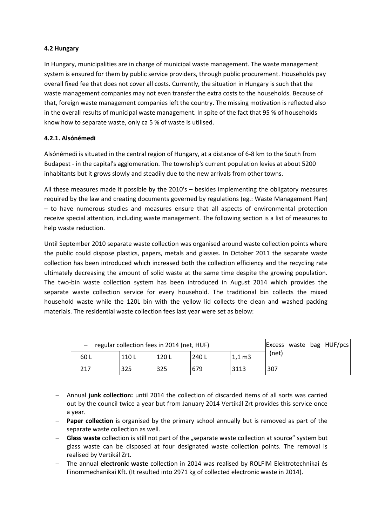### **4.2 Hungary**

In Hungary, municipalities are in charge of municipal waste management. The waste management system is ensured for them by public service providers, through public procurement. Households pay overall fixed fee that does not cover all costs. Currently, the situation in Hungary is such that the waste management companies may not even transfer the extra costs to the households. Because of that, foreign waste management companies left the country. The missing motivation is reflected also in the overall results of municipal waste management. In spite of the fact that 95 % of households know how to separate waste, only ca 5 % of waste is utilised.

#### **4.2.1. Alsónémedi**

Alsónémedi is situated in the central region of Hungary, at a distance of 6-8 km to the South from Budapest - in the capital's agglomeration. The township's current population levies at about 5200 inhabitants but it grows slowly and steadily due to the new arrivals from other towns.

All these measures made it possible by the 2010's – besides implementing the obligatory measures required by the law and creating documents governed by regulations (eg.: Waste Management Plan) – to have numerous studies and measures ensure that all aspects of environmental protection receive special attention, including waste management. The following section is a list of measures to help waste reduction.

Until September 2010 separate waste collection was organised around waste collection points where the public could dispose plastics, papers, metals and glasses. In October 2011 the separate waste collection has been introduced which increased both the collection efficiency and the recycling rate ultimately decreasing the amount of solid waste at the same time despite the growing population. The two-bin waste collection system has been introduced in August 2014 which provides the separate waste collection service for every household. The traditional bin collects the mixed household waste while the 120L bin with the yellow lid collects the clean and washed packing materials. The residential waste collection fees last year were set as below:

| $-$ regular collection fees in 2014 (net, HUF) |       |       |       |                 |       |  | Excess waste bag HUF/pcs |
|------------------------------------------------|-------|-------|-------|-----------------|-------|--|--------------------------|
| 60 L                                           | 110 L | 120 L | 240 L | $1,1 \text{ m}$ | (net) |  |                          |
| 217                                            | 325   | 325   | 679   | 3113            | 307   |  |                          |

- Annual **junk collection:** until 2014 the collection of discarded items of all sorts was carried out by the council twice a year but from January 2014 Vertikál Zrt provides this service once a year.
- **Paper collection** is organised by the primary school annually but is removed as part of the separate waste collection as well.
- **Glass waste** collection is still not part of the "separate waste collection at source" system but glass waste can be disposed at four designated waste collection points. The removal is realised by Vertikál Zrt.
- The annual **electronic waste** collection in 2014 was realised by ROLFIM Elektrotechnikai és Finommechanikai Kft. (It resulted into 2971 kg of collected electronic waste in 2014).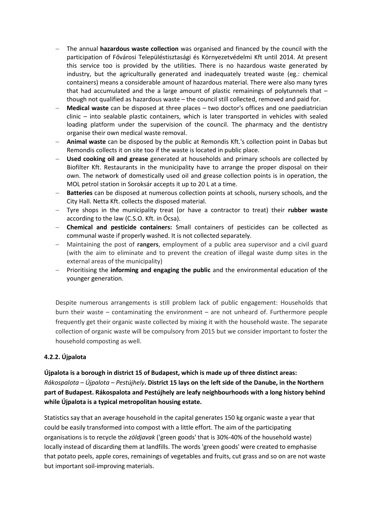- The annual **hazardous waste collection** was organised and financed by the council with the participation of Fővárosi Településtisztasági és Környezetvédelmi Kft until 2014. At present this service too is provided by the utilities. There is no hazardous waste generated by industry, but the agriculturally generated and inadequately treated waste (eg.: chemical containers) means a considerable amount of hazardous material. There were also many tyres that had accumulated and the a large amount of plastic remainings of polytunnels that – though not qualified as hazardous waste – the council still collected, removed and paid for.
- **Medical waste** can be disposed at three places two doctor's offices and one paediatrician clinic – into sealable plastic containers, which is later transported in vehicles with sealed loading platform under the supervision of the council. The pharmacy and the dentistry organise their own medical waste removal.
- **Animal waste** can be disposed by the public at Remondis Kft.'s collection point in Dabas but Remondis collects it on site too if the waste is located in public place.
- **Used cooking oil and grease** generated at households and primary schools are collected by Biofilter Kft. Restaurants in the municipality have to arrange the proper disposal on their own. The network of domestically used oil and grease collection points is in operation, the MOL petrol station in Soroksár accepts it up to 20 L at a time.
- **Batteries** can be disposed at numerous collection points at schools, nursery schools, and the City Hall. Netta Kft. collects the disposed material.
- Tyre shops in the municipality treat (or have a contractor to treat) their **rubber waste** according to the law (C.S.O. Kft. in Ócsa).
- **Chemical and pesticide containers:** Small containers of pesticides can be collected as communal waste if properly washed. It is not collected separately.
- Maintaining the post of **rangers**, employment of a public area supervisor and a civil guard (with the aim to eliminate and to prevent the creation of illegal waste dump sites in the external areas of the municipality)
- Prioritising the **informing and engaging the public** and the environmental education of the younger generation.

Despite numerous arrangements is still problem lack of public engagement: Households that burn their waste – contaminating the environment – are not unheard of. Furthermore people frequently get their organic waste collected by mixing it with the household waste. The separate collection of organic waste will be compulsory from 2015 but we consider important to foster the household composting as well.

## **4.2.2. Újpalota**

**Újpalota is a borough in district 15 of Budapest, which is made up of three distinct areas:**  *Rákospalota – Újpalota – Pestújhely***. District 15 lays on the left side of the Danube, in the Northern part of Budapest. Rákospalota and Pestújhely are leafy neighbourhoods with a long history behind while Újpalota is a typical metropolitan housing estate.**

Statistics say that an average household in the capital generates 150 kg organic waste a year that could be easily transformed into compost with a little effort. The aim of the participating organisations is to recycle the *zöldjavak* ('green goods' that is 30%-40% of the household waste) locally instead of discarding them at landfills. The words 'green goods' were created to emphasise that potato peels, apple cores, remainings of vegetables and fruits, cut grass and so on are not waste but important soil-improving materials.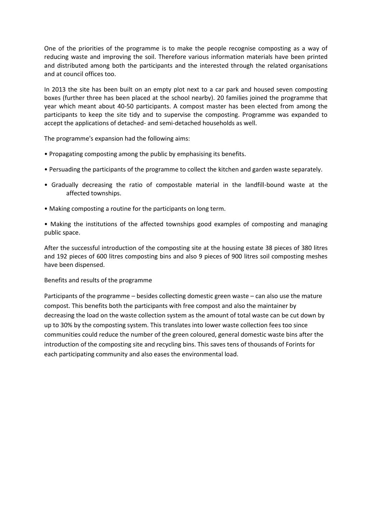One of the priorities of the programme is to make the people recognise composting as a way of reducing waste and improving the soil. Therefore various information materials have been printed and distributed among both the participants and the interested through the related organisations and at council offices too.

In 2013 the site has been built on an empty plot next to a car park and housed seven composting boxes (further three has been placed at the school nearby). 20 families joined the programme that year which meant about 40-50 participants. A compost master has been elected from among the participants to keep the site tidy and to supervise the composting. Programme was expanded to accept the applications of detached- and semi-detached households as well.

The programme's expansion had the following aims:

- Propagating composting among the public by emphasising its benefits.
- Persuading the participants of the programme to collect the kitchen and garden waste separately.
- Gradually decreasing the ratio of compostable material in the landfill-bound waste at the affected townships.
- Making composting a routine for the participants on long term.
- Making the institutions of the affected townships good examples of composting and managing public space.

After the successful introduction of the composting site at the housing estate 38 pieces of 380 litres and 192 pieces of 600 litres composting bins and also 9 pieces of 900 litres soil composting meshes have been dispensed.

Benefits and results of the programme

Participants of the programme – besides collecting domestic green waste – can also use the mature compost. This benefits both the participants with free compost and also the maintainer by decreasing the load on the waste collection system as the amount of total waste can be cut down by up to 30% by the composting system. This translates into lower waste collection fees too since communities could reduce the number of the green coloured, general domestic waste bins after the introduction of the composting site and recycling bins. This saves tens of thousands of Forints for each participating community and also eases the environmental load.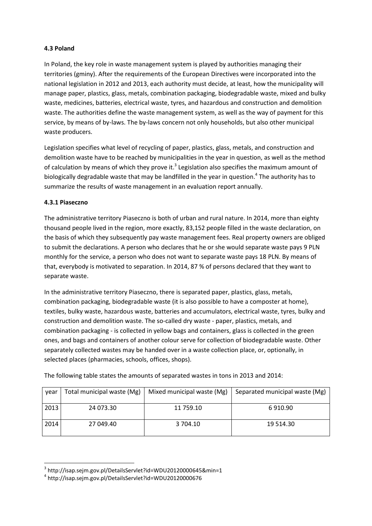## **4.3 Poland**

In Poland, the key role in waste management system is played by authorities managing their territories (gminy). After the requirements of the European Directives were incorporated into the national legislation in 2012 and 2013, each authority must decide, at least, how the municipality will manage paper, plastics, glass, metals, combination packaging, biodegradable waste, mixed and bulky waste, medicines, batteries, electrical waste, tyres, and hazardous and construction and demolition waste. The authorities define the waste management system, as well as the way of payment for this service, by means of by-laws. The by-laws concern not only households, but also other municipal waste producers.

Legislation specifies what level of recycling of paper, plastics, glass, metals, and construction and demolition waste have to be reached by municipalities in the year in question, as well as the method of calculation by means of which they prove it.<sup>3</sup> Legislation also specifies the maximum amount of biologically degradable waste that may be landfilled in the year in question. 4 The authority has to summarize the results of waste management in an evaluation report annually.

#### **4.3.1 Piaseczno**

The administrative territory Piaseczno is both of urban and rural nature. In 2014, more than eighty thousand people lived in the region, more exactly, 83,152 people filled in the waste declaration, on the basis of which they subsequently pay waste management fees. Real property owners are obliged to submit the declarations. A person who declares that he or she would separate waste pays 9 PLN monthly for the service, a person who does not want to separate waste pays 18 PLN. By means of that, everybody is motivated to separation. In 2014, 87 % of persons declared that they want to separate waste.

In the administrative territory Piaseczno, there is separated paper, plastics, glass, metals, combination packaging, biodegradable waste (it is also possible to have a composter at home), textiles, bulky waste, hazardous waste, batteries and accumulators, electrical waste, tyres, bulky and construction and demolition waste. The so-called dry waste - paper, plastics, metals, and combination packaging - is collected in yellow bags and containers, glass is collected in the green ones, and bags and containers of another colour serve for collection of biodegradable waste. Other separately collected wastes may be handed over in a waste collection place, or, optionally, in selected places (pharmacies, schools, offices, shops).

The following table states the amounts of separated wastes in tons in 2013 and 2014:

| year | Total municipal waste (Mg) | Mixed municipal waste (Mg) | Separated municipal waste (Mg) |
|------|----------------------------|----------------------------|--------------------------------|
| 2013 | 24 073.30                  | 11 759.10                  | 6910.90                        |
| 2014 | 27 049.40                  | 3 704.10                   | 19 514.30                      |
|      |                            |                            |                                |

 3 http://isap.sejm.gov.pl/DetailsServlet?id=WDU20120000645&min=1

<sup>4</sup> http://isap.sejm.gov.pl/DetailsServlet?id=WDU20120000676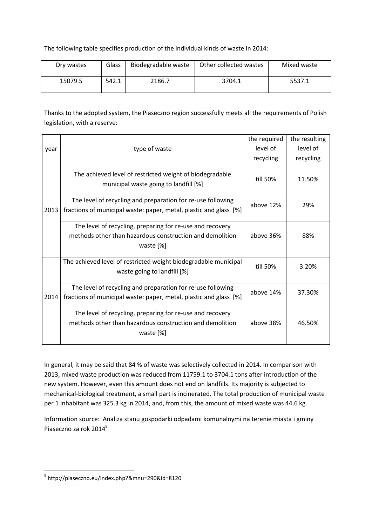The following table specifies production of the individual kinds of waste in 2014:

| Dry wastes | Glass | Biodegradable waste | Other collected wastes | Mixed waste |
|------------|-------|---------------------|------------------------|-------------|
| 15079.5    | 542.1 | 2186.7              | 3704.1                 | 5537.1      |

Thanks to the adopted system, the Piaseczno region successfully meets all the requirements of Polish legislation, with a reserve:

|      |                                                                   | the required | the resulting |
|------|-------------------------------------------------------------------|--------------|---------------|
| year | type of waste                                                     | level of     | level of      |
|      |                                                                   | recycling    | recycling     |
|      |                                                                   |              |               |
|      | The achieved level of restricted weight of biodegradable          | till 50%     | 11.50%        |
|      | municipal waste going to landfill [%]                             |              |               |
|      | The level of recycling and preparation for re-use following       |              |               |
| 2013 | fractions of municipal waste: paper, metal, plastic and glass [%] | above 12%    | 29%           |
|      |                                                                   |              |               |
|      | The level of recycling, preparing for re-use and recovery         |              |               |
|      | methods other than hazardous construction and demolition          | above 36%    | 88%           |
|      | waste [%]                                                         |              |               |
|      |                                                                   |              |               |
|      | The achieved level of restricted weight biodegradable municipal   | till 50%     | 3.20%         |
|      | waste going to landfill [%]                                       |              |               |
|      |                                                                   |              |               |
|      | The level of recycling and preparation for re-use following       | above 14%    | 37.30%        |
| 2014 | fractions of municipal waste: paper, metal, plastic and glass [%] |              |               |
|      | The level of recycling, preparing for re-use and recovery         |              |               |
|      |                                                                   |              |               |
|      | methods other than hazardous construction and demolition          | above 38%    | 46.50%        |
|      | waste [%]                                                         |              |               |
|      |                                                                   |              |               |

In general, it may be said that 84 % of waste was selectively collected in 2014. In comparison with 2013, mixed waste production was reduced from 11759.1 to 3704.1 tons after introduction of the new system. However, even this amount does not end on landfills. Its majority is subjected to mechanical-biological treatment, a small part is incinerated. The total production of municipal waste per 1 inhabitant was 325.3 kg in 2014, and, from this, the amount of mixed waste was 44.6 kg.

Information source: Analiza stanu gospodarki odpadami komunalnymi na terenie miasta i gminy Piaseczno za rok 2014<sup>5</sup>

**.** 

<sup>5</sup> http://piaseczno.eu/index.php?&mnu=290&id=8120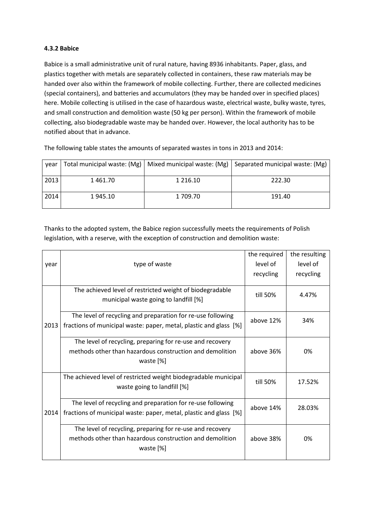### **4.3.2 Babice**

Babice is a small administrative unit of rural nature, having 8936 inhabitants. Paper, glass, and plastics together with metals are separately collected in containers, these raw materials may be handed over also within the framework of mobile collecting. Further, there are collected medicines (special containers), and batteries and accumulators (they may be handed over in specified places) here. Mobile collecting is utilised in the case of hazardous waste, electrical waste, bulky waste, tyres, and small construction and demolition waste (50 kg per person). Within the framework of mobile collecting, also biodegradable waste may be handed over. However, the local authority has to be notified about that in advance.

year Total municipal waste:  $(Mg)$  Mixed municipal waste:  $(Mg)$  Separated municipal waste:  $(Mg)$ 2013 1 461.70 1 216.10 222.30 2014 1 945.10 1 709.70 191.40

The following table states the amounts of separated wastes in tons in 2013 and 2014:

Thanks to the adopted system, the Babice region successfully meets the requirements of Polish legislation, with a reserve, with the exception of construction and demolition waste:

|      |                                                                   | the required | the resulting |
|------|-------------------------------------------------------------------|--------------|---------------|
| year | type of waste                                                     | level of     | level of      |
|      |                                                                   | recycling    | recycling     |
|      |                                                                   |              |               |
|      | The achieved level of restricted weight of biodegradable          | till 50%     | 4.47%         |
|      | municipal waste going to landfill [%]                             |              |               |
|      | The level of recycling and preparation for re-use following       |              |               |
| 2013 | fractions of municipal waste: paper, metal, plastic and glass [%] | above 12%    | 34%           |
|      |                                                                   |              |               |
|      | The level of recycling, preparing for re-use and recovery         |              |               |
|      | methods other than hazardous construction and demolition          | above 36%    | 0%            |
|      | waste [%]                                                         |              |               |
|      |                                                                   |              |               |
|      | The achieved level of restricted weight biodegradable municipal   | till 50%     | 17.52%        |
|      | waste going to landfill [%]                                       |              |               |
|      | The level of recycling and preparation for re-use following       | above 14%    | 28.03%        |
| 2014 | fractions of municipal waste: paper, metal, plastic and glass [%] |              |               |
|      |                                                                   |              |               |
|      | The level of recycling, preparing for re-use and recovery         |              |               |
|      | methods other than hazardous construction and demolition          | above 38%    | 0%            |
|      | waste [%]                                                         |              |               |
|      |                                                                   |              |               |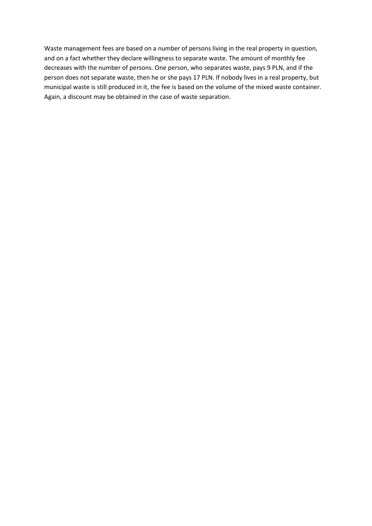Waste management fees are based on a number of persons living in the real property in question, and on a fact whether they declare willingness to separate waste. The amount of monthly fee decreases with the number of persons. One person, who separates waste, pays 9 PLN, and if the person does not separate waste, then he or she pays 17 PLN. If nobody lives in a real property, but municipal waste is still produced in it, the fee is based on the volume of the mixed waste container. Again, a discount may be obtained in the case of waste separation.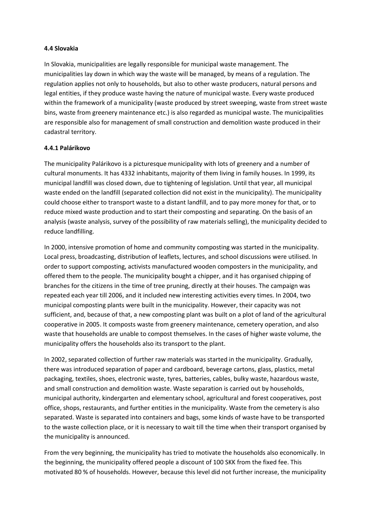#### **4.4 Slovakia**

In Slovakia, municipalities are legally responsible for municipal waste management. The municipalities lay down in which way the waste will be managed, by means of a regulation. The regulation applies not only to households, but also to other waste producers, natural persons and legal entities, if they produce waste having the nature of municipal waste. Every waste produced within the framework of a municipality (waste produced by street sweeping, waste from street waste bins, waste from greenery maintenance etc.) is also regarded as municipal waste. The municipalities are responsible also for management of small construction and demolition waste produced in their cadastral territory.

#### **4.4.1 Palárikovo**

The municipality Palárikovo is a picturesque municipality with lots of greenery and a number of cultural monuments. It has 4332 inhabitants, majority of them living in family houses. In 1999, its municipal landfill was closed down, due to tightening of legislation. Until that year, all municipal waste ended on the landfill (separated collection did not exist in the municipality). The municipality could choose either to transport waste to a distant landfill, and to pay more money for that, or to reduce mixed waste production and to start their composting and separating. On the basis of an analysis (waste analysis, survey of the possibility of raw materials selling), the municipality decided to reduce landfilling.

In 2000, intensive promotion of home and community composting was started in the municipality. Local press, broadcasting, distribution of leaflets, lectures, and school discussions were utilised. In order to support composting, activists manufactured wooden composters in the municipality, and offered them to the people. The municipality bought a chipper, and it has organised chipping of branches for the citizens in the time of tree pruning, directly at their houses. The campaign was repeated each year till 2006, and it included new interesting activities every times. In 2004, two municipal composting plants were built in the municipality. However, their capacity was not sufficient, and, because of that, a new composting plant was built on a plot of land of the agricultural cooperative in 2005. It composts waste from greenery maintenance, cemetery operation, and also waste that households are unable to compost themselves. In the cases of higher waste volume, the municipality offers the households also its transport to the plant.

In 2002, separated collection of further raw materials was started in the municipality. Gradually, there was introduced separation of paper and cardboard, beverage cartons, glass, plastics, metal packaging, textiles, shoes, electronic waste, tyres, batteries, cables, bulky waste, hazardous waste, and small construction and demolition waste. Waste separation is carried out by households, municipal authority, kindergarten and elementary school, agricultural and forest cooperatives, post office, shops, restaurants, and further entities in the municipality. Waste from the cemetery is also separated. Waste is separated into containers and bags, some kinds of waste have to be transported to the waste collection place, or it is necessary to wait till the time when their transport organised by the municipality is announced.

From the very beginning, the municipality has tried to motivate the households also economically. In the beginning, the municipality offered people a discount of 100 SKK from the fixed fee. This motivated 80 % of households. However, because this level did not further increase, the municipality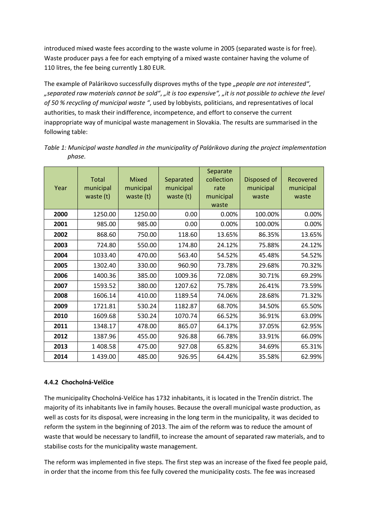introduced mixed waste fees according to the waste volume in 2005 (separated waste is for free). Waste producer pays a fee for each emptying of a mixed waste container having the volume of 110 litres, the fee being currently 1.80 EUR.

The example of Palárikovo successfully disproves myths of the type *"people are not interested"*, *"separated raw materials cannot be sold"*, *"it is too expensive", "it is not possible to achieve the level of 50 % recycling of municipal waste "*, used by lobbyists, politicians, and representatives of local authorities, to mask their indifference, incompetence, and effort to conserve the current inappropriate way of municipal waste management in Slovakia. The results are summarised in the following table:

| Year | <b>Total</b><br>municipal<br>waste (t) | <b>Mixed</b><br>municipal<br>waste (t) | Separated<br>municipal<br>waste (t) | Separate<br>collection<br>rate<br>municipal<br>waste | Disposed of<br>municipal<br>waste | Recovered<br>municipal<br>waste |
|------|----------------------------------------|----------------------------------------|-------------------------------------|------------------------------------------------------|-----------------------------------|---------------------------------|
| 2000 | 1250.00                                | 1250.00                                | 0.00                                | 0.00%                                                | 100.00%                           | 0.00%                           |
| 2001 | 985.00                                 | 985.00                                 | 0.00                                | 0.00%                                                | 100.00%                           | 0.00%                           |
| 2002 | 868.60                                 | 750.00                                 | 118.60                              | 13.65%                                               | 86.35%                            | 13.65%                          |
| 2003 | 724.80                                 | 550.00                                 | 174.80                              | 24.12%                                               | 75.88%                            | 24.12%                          |
| 2004 | 1033.40                                | 470.00                                 | 563.40                              | 54.52%                                               | 45.48%                            | 54.52%                          |
| 2005 | 1302.40                                | 330.00                                 | 960.90                              | 73.78%                                               | 29.68%                            | 70.32%                          |
| 2006 | 1400.36                                | 385.00                                 | 1009.36                             | 72.08%                                               | 30.71%                            | 69.29%                          |
| 2007 | 1593.52                                | 380.00                                 | 1207.62                             | 75.78%                                               | 26.41%                            | 73.59%                          |
| 2008 | 1606.14                                | 410.00                                 | 1189.54                             | 74.06%                                               | 28.68%                            | 71.32%                          |
| 2009 | 1721.81                                | 530.24                                 | 1182.87                             | 68.70%                                               | 34.50%                            | 65.50%                          |
| 2010 | 1609.68                                | 530.24                                 | 1070.74                             | 66.52%                                               | 36.91%                            | 63.09%                          |
| 2011 | 1348.17                                | 478.00                                 | 865.07                              | 64.17%                                               | 37.05%                            | 62.95%                          |
| 2012 | 1387.96                                | 455.00                                 | 926.88                              | 66.78%                                               | 33.91%                            | 66.09%                          |
| 2013 | 1 408.58                               | 475.00                                 | 927.08                              | 65.82%                                               | 34.69%                            | 65.31%                          |
| 2014 | 1 439.00                               | 485.00                                 | 926.95                              | 64.42%                                               | 35.58%                            | 62.99%                          |

*Table 1: Municipal waste handled in the municipality of Palárikovo during the project implementation phase.*

## **4.4.2 Chocholná-Velčice**

The municipality Chocholná-Velčice has 1732 inhabitants, it is located in the Trenčín district. The majority of its inhabitants live in family houses. Because the overall municipal waste production, as well as costs for its disposal, were increasing in the long term in the municipality, it was decided to reform the system in the beginning of 2013. The aim of the reform was to reduce the amount of waste that would be necessary to landfill, to increase the amount of separated raw materials, and to stabilise costs for the municipality waste management.

The reform was implemented in five steps. The first step was an increase of the fixed fee people paid, in order that the income from this fee fully covered the municipality costs. The fee was increased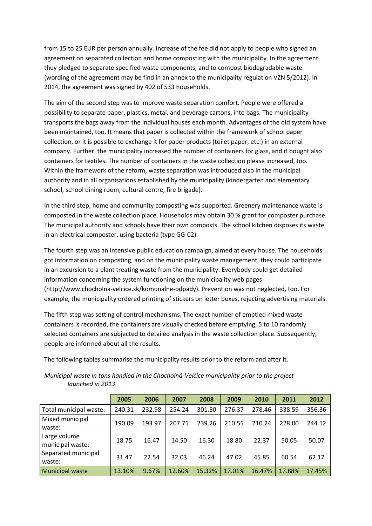from 15 to 25 EUR per person annually. Increase of the fee did not apply to people who signed an agreement on separated collection and home composting with the municipality. In the agreement, they pledged to separate specified waste components, and to compost biodegradable waste (wording of the agreement may be find in an annex to the municipality regulation VZN 5/2012). In 2014, the agreement was signed by 402 of 533 households.

The aim of the second step was to improve waste separation comfort. People were offered a possibility to separate paper, plastics, metal, and beverage cartons, into bags. The municipality transports the bags away from the individual houses each month. Advantages of the old system have been maintained, too. It means that paper is collected within the framework of school paper collection, or it is possible to exchange it for paper products (toilet paper, etc.) in an external company. Further, the municipality increased the number of containers for glass, and it bought also containers for textiles. The number of containers in the waste collection please increased, too. Within the framework of the reform, waste separation was introduced also in the municipal authority and in all organisations established by the municipality (kindergarten and elementary school, school dining room, cultural centre, fire brigade).

In the third step, home and community composting was supported. Greenery maintenance waste is composted in the waste collection place. Households may obtain 30 % grant for composter purchase. The municipal authority and schools have their own composts. The school kitchen disposes its waste in an electrical composter, using bacteria (type GG-02).

The fourth step was an intensive public education campaign, aimed at every house. The households got information on composting, and on the municipality waste management, they could participate in an excursion to a plant treating waste from the municipality. Everybody could get detailed information concerning the system functioning on the municipality web pages (http://www.chocholna-velcice.sk/komunalne-odpady). Prevention was not neglected, too. For example, the municipality ordered printing of stickers on letter boxes, rejecting advertising materials.

The fifth step was setting of control mechanisms. The exact number of emptied mixed waste containers is recorded, the containers are visually checked before emptying, 5 to 10 randomly selected containers are subjected to detailed analysis in the waste collection place. Subsequently, people are informed about all the results.

The following tables summarise the municipality results prior to the reform and after it.

|                                  | 2005   | 2006   | 2007   | 2008   | 2009   | 2010   | 2011   | 2012   |
|----------------------------------|--------|--------|--------|--------|--------|--------|--------|--------|
| Total municipal waste:           | 240.31 | 232.98 | 254.24 | 301.80 | 276.37 | 278.46 | 338.59 | 356.36 |
| Mixed municipal<br>waste:        | 190.09 | 193.97 | 207.71 | 239.26 | 210.55 | 210.24 | 228.00 | 244.12 |
| Large volume<br>municipal waste: | 18.75  | 16.47  | 14.50  | 16.30  | 18.80  | 22.37  | 50.05  | 50.07  |
| Separated municipal<br>waste:    | 31.47  | 22.54  | 32.03  | 46.24  | 47.02  | 45.85  | 60.54  | 62.17  |
| <b>Municipal waste</b>           | 13.10% | 9.67%  | 12.60% | 15.32% | 17.01% | 16.47% | 17.88% | 17.45% |

*Municipal waste in tons handled in the Chocholná-Velčice municipality prior to the project launched in 2013*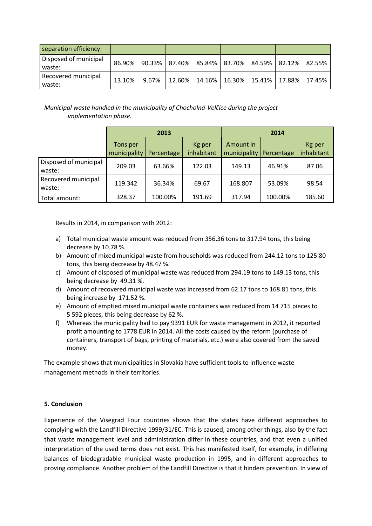| separation efficiency:          |        |           |                                                     |           |  |                                   |  |
|---------------------------------|--------|-----------|-----------------------------------------------------|-----------|--|-----------------------------------|--|
| Disposed of municipal<br>waste: | 86.90% | $90.33\%$ | 87.40%   85.84%   83.70%   84.59%   82.12%   82.55% |           |  |                                   |  |
| Recovered municipal<br>waste:   | 13.10% | 9.67%     | 12.60%                                              | $14.16\%$ |  | 16.30%   15.41%   17.88%   17.45% |  |

*Municipal waste handled in the municipality of Chocholná-Velčice during the project implementation phase.*

|                                 |                          | 2013       |                      | 2014                      |            |                      |  |
|---------------------------------|--------------------------|------------|----------------------|---------------------------|------------|----------------------|--|
|                                 | Tons per<br>municipality | Percentage | Kg per<br>inhabitant | Amount in<br>municipality | Percentage | Kg per<br>inhabitant |  |
| Disposed of municipal<br>waste: | 209.03                   | 63.66%     | 122.03               | 149.13                    | 46.91%     | 87.06                |  |
| Recovered municipal<br>waste:   | 119.342                  | 36.34%     | 69.67                | 168.807                   | 53.09%     | 98.54                |  |
| Total amount:                   | 328.37                   | 100.00%    | 191.69               | 317.94                    | 100.00%    | 185.60               |  |

Results in 2014, in comparison with 2012:

- a) Total municipal waste amount was reduced from 356.36 tons to 317.94 tons, this being decrease by 10.78 %.
- b) Amount of mixed municipal waste from households was reduced from 244.12 tons to 125.80 tons, this being decrease by 48.47 %.
- c) Amount of disposed of municipal waste was reduced from 294.19 tons to 149.13 tons, this being decrease by 49.31 %.
- d) Amount of recovered municipal waste was increased from 62.17 tons to 168.81 tons, this being increase by 171.52 %.
- e) Amount of emptied mixed municipal waste containers was reduced from 14 715 pieces to 5 592 pieces, this being decrease by 62 %.
- f) Whereas the municipality had to pay 9391 EUR for waste management in 2012, it reported profit amounting to 1778 EUR in 2014. All the costs caused by the reform (purchase of containers, transport of bags, printing of materials, etc.) were also covered from the saved money.

The example shows that municipalities in Slovakia have sufficient tools to influence waste management methods in their territories.

## **5. Conclusion**

Experience of the Visegrad Four countries shows that the states have different approaches to complying with the Landfill Directive 1999/31/EC. This is caused, among other things, also by the fact that waste management level and administration differ in these countries, and that even a unified interpretation of the used terms does not exist. This has manifested itself, for example, in differing balances of biodegradable municipal waste production in 1995, and in different approaches to proving compliance. Another problem of the Landfill Directive is that it hinders prevention. In view of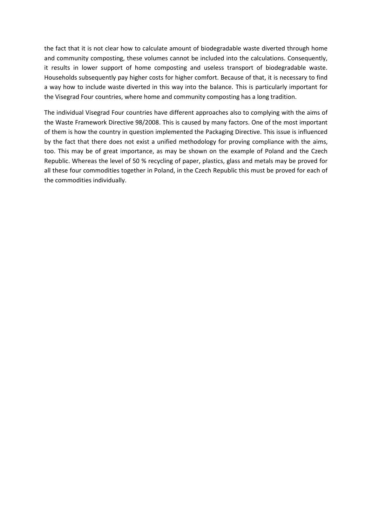the fact that it is not clear how to calculate amount of biodegradable waste diverted through home and community composting, these volumes cannot be included into the calculations. Consequently, it results in lower support of home composting and useless transport of biodegradable waste. Households subsequently pay higher costs for higher comfort. Because of that, it is necessary to find a way how to include waste diverted in this way into the balance. This is particularly important for the Visegrad Four countries, where home and community composting has a long tradition.

The individual Visegrad Four countries have different approaches also to complying with the aims of the Waste Framework Directive 98/2008. This is caused by many factors. One of the most important of them is how the country in question implemented the Packaging Directive. This issue is influenced by the fact that there does not exist a unified methodology for proving compliance with the aims, too. This may be of great importance, as may be shown on the example of Poland and the Czech Republic. Whereas the level of 50 % recycling of paper, plastics, glass and metals may be proved for all these four commodities together in Poland, in the Czech Republic this must be proved for each of the commodities individually.